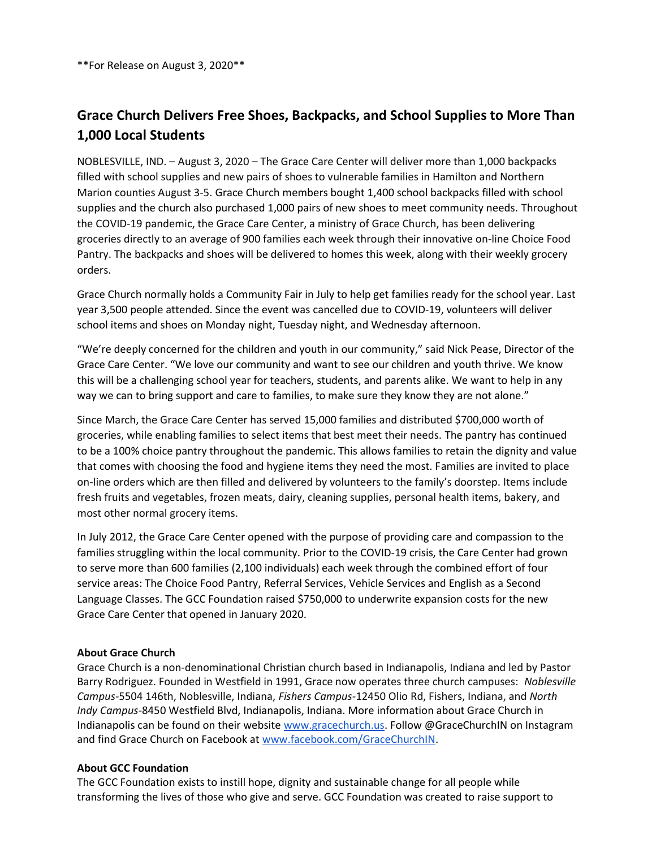\*\*For Release on August 3, 2020\*\*

## Grace Church Delivers Free Shoes, Backpacks, and School Supplies to More Than 1,000 Local Students

NOBLESVILLE, IND. – August 3, 2020 – The Grace Care Center will deliver more than 1,000 backpacks filled with school supplies and new pairs of shoes to vulnerable families in Hamilton and Northern Marion counties August 3-5. Grace Church members bought 1,400 school backpacks filled with school supplies and the church also purchased 1,000 pairs of new shoes to meet community needs. Throughout the COVID-19 pandemic, the Grace Care Center, a ministry of Grace Church, has been delivering groceries directly to an average of 900 families each week through their innovative on-line Choice Food Pantry. The backpacks and shoes will be delivered to homes this week, along with their weekly grocery orders.

Grace Church normally holds a Community Fair in July to help get families ready for the school year. Last year 3,500 people attended. Since the event was cancelled due to COVID-19, volunteers will deliver school items and shoes on Monday night, Tuesday night, and Wednesday afternoon.

"We're deeply concerned for the children and youth in our community," said Nick Pease, Director of the Grace Care Center. "We love our community and want to see our children and youth thrive. We know this will be a challenging school year for teachers, students, and parents alike. We want to help in any way we can to bring support and care to families, to make sure they know they are not alone."

Since March, the Grace Care Center has served 15,000 families and distributed \$700,000 worth of groceries, while enabling families to select items that best meet their needs. The pantry has continued to be a 100% choice pantry throughout the pandemic. This allows families to retain the dignity and value that comes with choosing the food and hygiene items they need the most. Families are invited to place on-line orders which are then filled and delivered by volunteers to the family's doorstep. Items include fresh fruits and vegetables, frozen meats, dairy, cleaning supplies, personal health items, bakery, and most other normal grocery items.

In July 2012, the Grace Care Center opened with the purpose of providing care and compassion to the families struggling within the local community. Prior to the COVID-19 crisis, the Care Center had grown to serve more than 600 families (2,100 individuals) each week through the combined effort of four service areas: The Choice Food Pantry, Referral Services, Vehicle Services and English as a Second Language Classes. The GCC Foundation raised \$750,000 to underwrite expansion costs for the new Grace Care Center that opened in January 2020.

## About Grace Church

Grace Church is a non-denominational Christian church based in Indianapolis, Indiana and led by Pastor Barry Rodriguez. Founded in Westfield in 1991, Grace now operates three church campuses: Noblesville Campus-5504 146th, Noblesville, Indiana, Fishers Campus-12450 Olio Rd, Fishers, Indiana, and North Indy Campus-8450 Westfield Blvd, Indianapolis, Indiana. More information about Grace Church in Indianapolis can be found on their website www.gracechurch.us. Follow @GraceChurchIN on Instagram and find Grace Church on Facebook at www.facebook.com/GraceChurchIN.

## About GCC Foundation

The GCC Foundation exists to instill hope, dignity and sustainable change for all people while transforming the lives of those who give and serve. GCC Foundation was created to raise support to